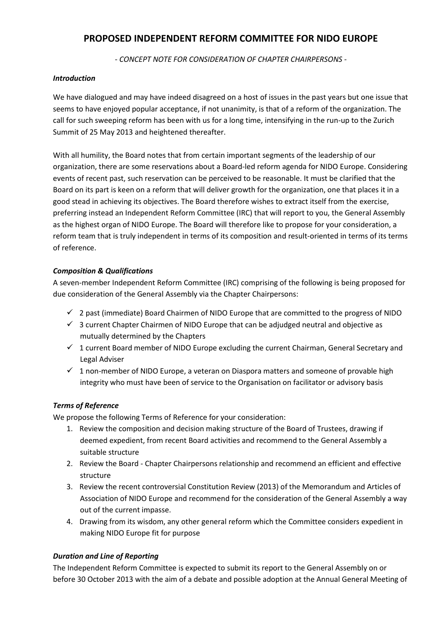# **PROPOSED INDEPENDENT REFORM COMMITTEE FOR NIDO EUROPE**

*- CONCEPT NOTE FOR CONSIDERATION OF CHAPTER CHAIRPERSONS -*

### *Introduction*

We have dialogued and may have indeed disagreed on a host of issues in the past years but one issue that seems to have enjoyed popular acceptance, if not unanimity, is that of a reform of the organization. The call for such sweeping reform has been with us for a long time, intensifying in the run-up to the Zurich Summit of 25 May 2013 and heightened thereafter.

With all humility, the Board notes that from certain important segments of the leadership of our organization, there are some reservations about a Board-led reform agenda for NIDO Europe. Considering events of recent past, such reservation can be perceived to be reasonable. It must be clarified that the Board on its part is keen on a reform that will deliver growth for the organization, one that places it in a good stead in achieving its objectives. The Board therefore wishes to extract itself from the exercise, preferring instead an Independent Reform Committee (IRC) that will report to you, the General Assembly as the highest organ of NIDO Europe. The Board will therefore like to propose for your consideration, a reform team that is truly independent in terms of its composition and result-oriented in terms of its terms of reference.

## *Composition & Qualifications*

A seven-member Independent Reform Committee (IRC) comprising of the following is being proposed for due consideration of the General Assembly via the Chapter Chairpersons:

- $\checkmark$  2 past (immediate) Board Chairmen of NIDO Europe that are committed to the progress of NIDO
- $\checkmark$  3 current Chapter Chairmen of NIDO Europe that can be adjudged neutral and objective as mutually determined by the Chapters
- $1$  current Board member of NIDO Europe excluding the current Chairman, General Secretary and Legal Adviser
- $\checkmark$  1 non-member of NIDO Europe, a veteran on Diaspora matters and someone of provable high integrity who must have been of service to the Organisation on facilitator or advisory basis

## *Terms of Reference*

We propose the following Terms of Reference for your consideration:

- 1. Review the composition and decision making structure of the Board of Trustees, drawing if deemed expedient, from recent Board activities and recommend to the General Assembly a suitable structure
- 2. Review the Board Chapter Chairpersons relationship and recommend an efficient and effective structure
- 3. Review the recent controversial Constitution Review (2013) of the Memorandum and Articles of Association of NIDO Europe and recommend for the consideration of the General Assembly a way out of the current impasse.
- 4. Drawing from its wisdom, any other general reform which the Committee considers expedient in making NIDO Europe fit for purpose

## *Duration and Line of Reporting*

The Independent Reform Committee is expected to submit its report to the General Assembly on or before 30 October 2013 with the aim of a debate and possible adoption at the Annual General Meeting of